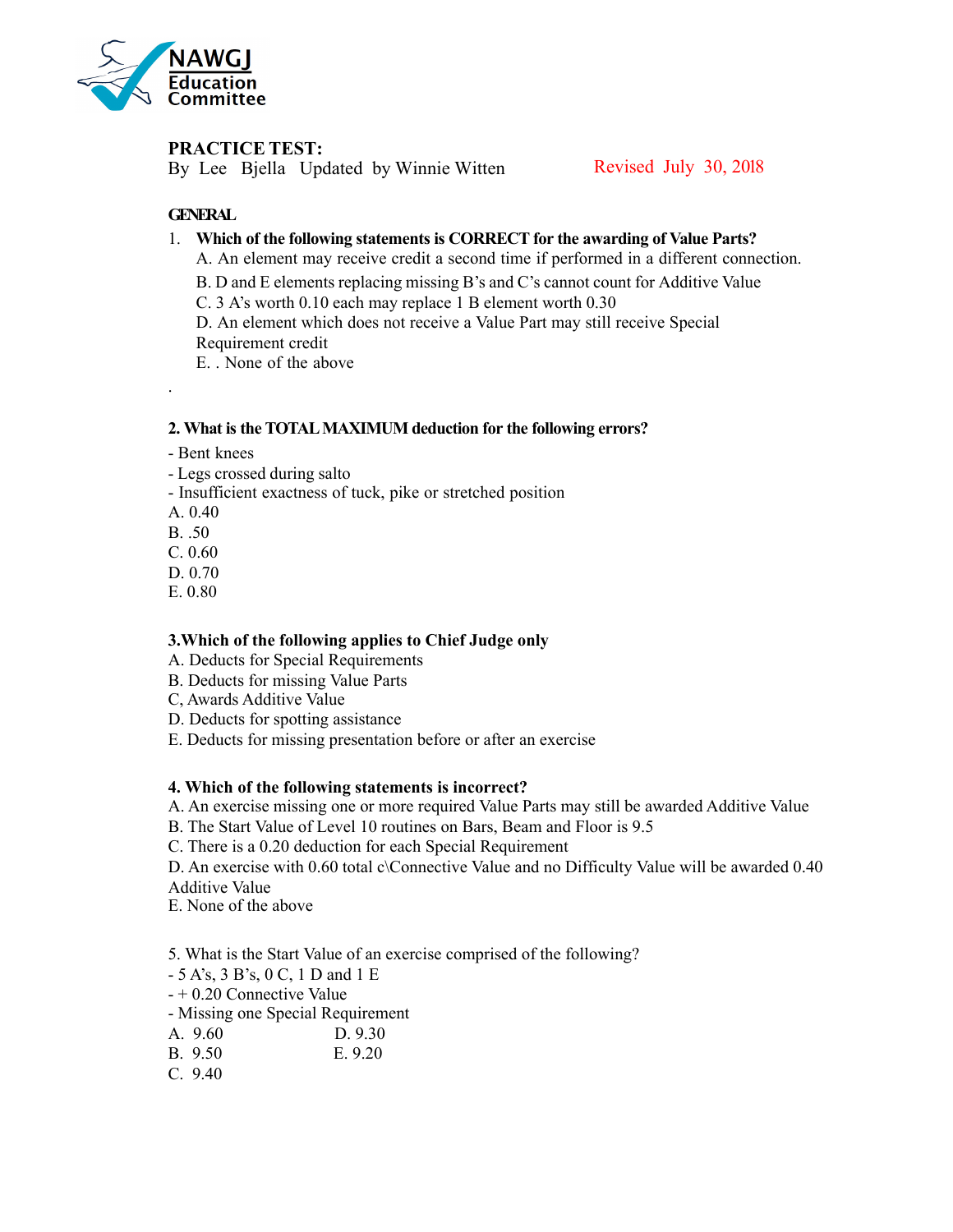

# **PRACTICE TEST:**

By Lee Bjella Updated by Winnie Witten Revised July 30, 2018

# **GENERAL**

- 1. **Which of the following statements is CORRECT for the awarding of Value Parts?**
	- A. An element may receive credit a second time if performed in a different connection.
	- B. D and E elements replacing missing B's and C's cannot count for Additive Value
	- C. 3 A's worth 0.10 each may replace 1 B element worth 0.30

D. An element which does not receive a Value Part may still receive Special Requirement credit

E. None of the above

# **2. What is the TOTALMAXIMUM deduction for the following errors?**

- Bent knees
- Legs crossed during salto
- Insufficient exactness of tuck, pike or stretched position
- A. 0.40

.

- B. .50
- C. 0.60
- D. 0.70
- E. 0.80

### **3.Which of the following applies to Chief Judge only**

- A. Deducts for Special Requirements
- B. Deducts for missing Value Parts
- C, Awards Additive Value
- D. Deducts for spotting assistance
- E. Deducts for missing presentation before or after an exercise

### **4. Which of the following statements is incorrect?**

- A. An exercise missing one or more required Value Parts may still be awarded Additive Value
- B. The Start Value of Level 10 routines on Bars, Beam and Floor is 9.5
- C. There is a 0.20 deduction for each Special Requirement
- D. An exercise with 0.60 total c\Connective Value and no Difficulty Value will be awarded 0.40 Additive Value
- E. None of the above

5. What is the Start Value of an exercise comprised of the following?

- 5 A's, 3 B's, 0 C, 1 D and 1 E
- + 0.20 Connective Value
- Missing one Special Requirement
- A. 9.60 D. 9.30
- B. 9.50 E. 9.20
- C. 9.40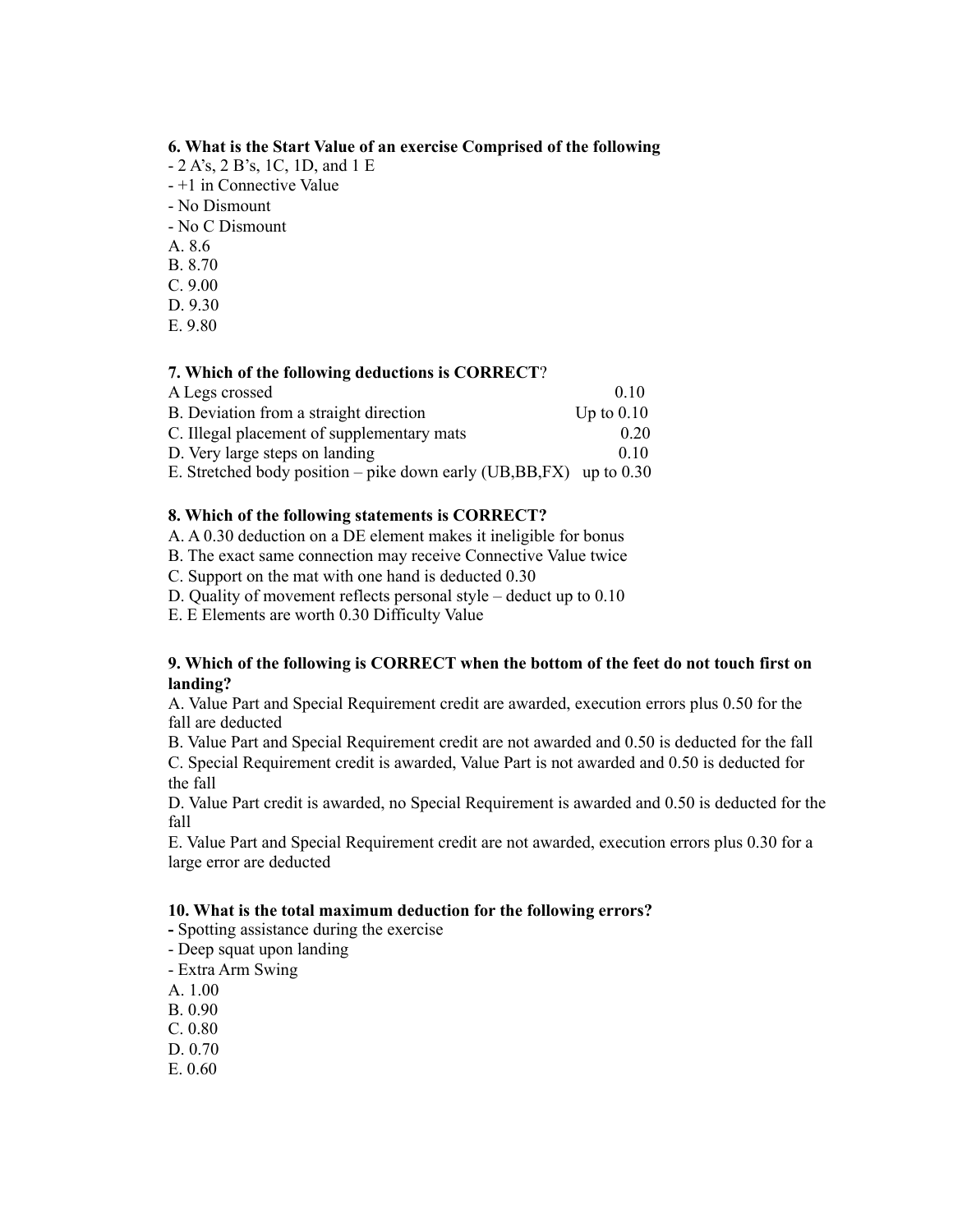### **6. What is the Start Value of an exercise Comprised of the following**

- 2 A's, 2 B's, 1C, 1D, and 1 E
- +1 in Connective Value
- No Dismount
- No C Dismount
- A. 8.6
- B. 8.70
- C. 9.00
- D. 9.30
- E. 9.80

### **7. Which of the following deductions is CORRECT**?

| A Legs crossed                                                         | 010          |
|------------------------------------------------------------------------|--------------|
| B. Deviation from a straight direction                                 | Up to $0.10$ |
| C. Illegal placement of supplementary mats                             | 020          |
| D. Very large steps on landing                                         | 0.10         |
| E. Stretched body position – pike down early (UB, BB, FX) up to $0.30$ |              |

# **8. Which of the following statements is CORRECT?**

A. A 0.30 deduction on a DE element makes it ineligible for bonus

- B. The exact same connection may receive Connective Value twice
- C. Support on the mat with one hand is deducted 0.30
- D. Quality of movement reflects personal style deduct up to 0.10

E. E Elements are worth 0.30 Difficulty Value

### **9. Which of the following is CORRECT when the bottom of the feet do not touch first on landing?**

A. Value Part and Special Requirement credit are awarded, execution errors plus 0.50 for the fall are deducted

B. Value Part and Special Requirement credit are not awarded and 0.50 is deducted for the fall

C. Special Requirement credit is awarded, Value Part is not awarded and 0.50 is deducted for the fall

D. Value Part credit is awarded, no Special Requirement is awarded and 0.50 is deducted for the fall

E. Value Part and Special Requirement credit are not awarded, execution errors plus 0.30 for a large error are deducted

### **10. What is the total maximum deduction for the following errors?**

- Spotting assistance during the exercise
- Deep squat upon landing
- Extra Arm Swing
- A. 1.00
- B. 0.90
- C. 0.80
- D. 0.70
- E. 0.60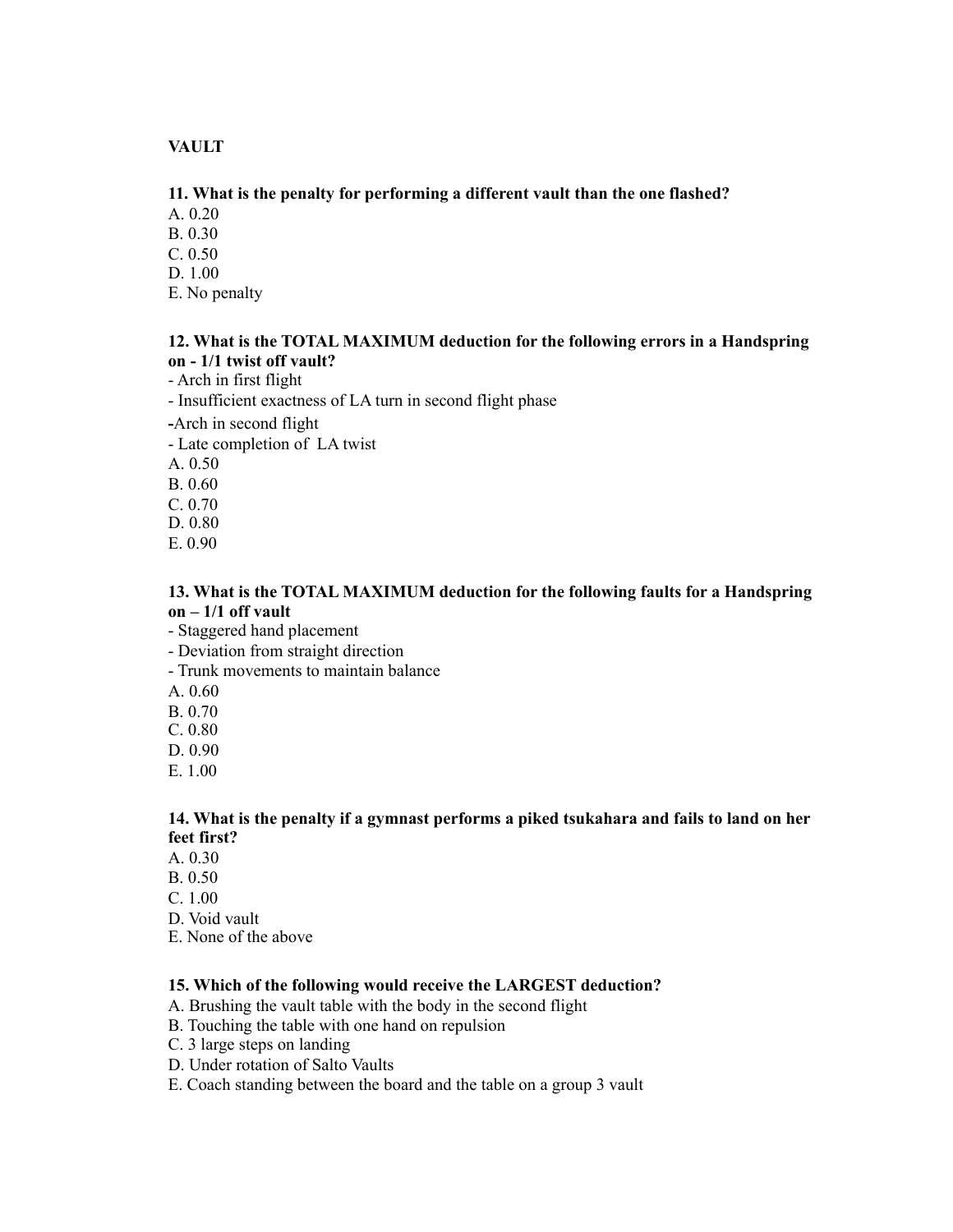# **VAULT**

### **11. What is the penalty for performing a different vault than the one flashed?**

A. 0.20

B. 0.30

C. 0.50

D. 1.00

E. No penalty

### **12. What is the TOTAL MAXIMUM deduction for the following errors in a Handspring on - 1/1 twist off vault?**

- Arch in first flight

- Insufficient exactness of LA turn in second flight phase

**-**Arch in second flight

- Late completion of LA twist

A. 0.50

B. 0.60

C. 0.70

D. 0.80

E. 0.90

### **13. What is the TOTAL MAXIMUM deduction for the following faults for a Handspring on – 1/1 off vault**

- Staggered hand placement

- Deviation from straight direction

- Trunk movements to maintain balance

A. 0.60

B. 0.70

C. 0.80

D. 0.90

E. 1.00

# **14. What is the penalty if a gymnast performs a piked tsukahara and fails to land on her feet first?**

A. 0.30

B. 0.50

C. 1.00

D. Void vault

E. None of the above

### **15. Which of the following would receive the LARGEST deduction?**

A. Brushing the vault table with the body in the second flight

B. Touching the table with one hand on repulsion

- C. 3 large steps on landing
- D. Under rotation of Salto Vaults

E. Coach standing between the board and the table on a group 3 vault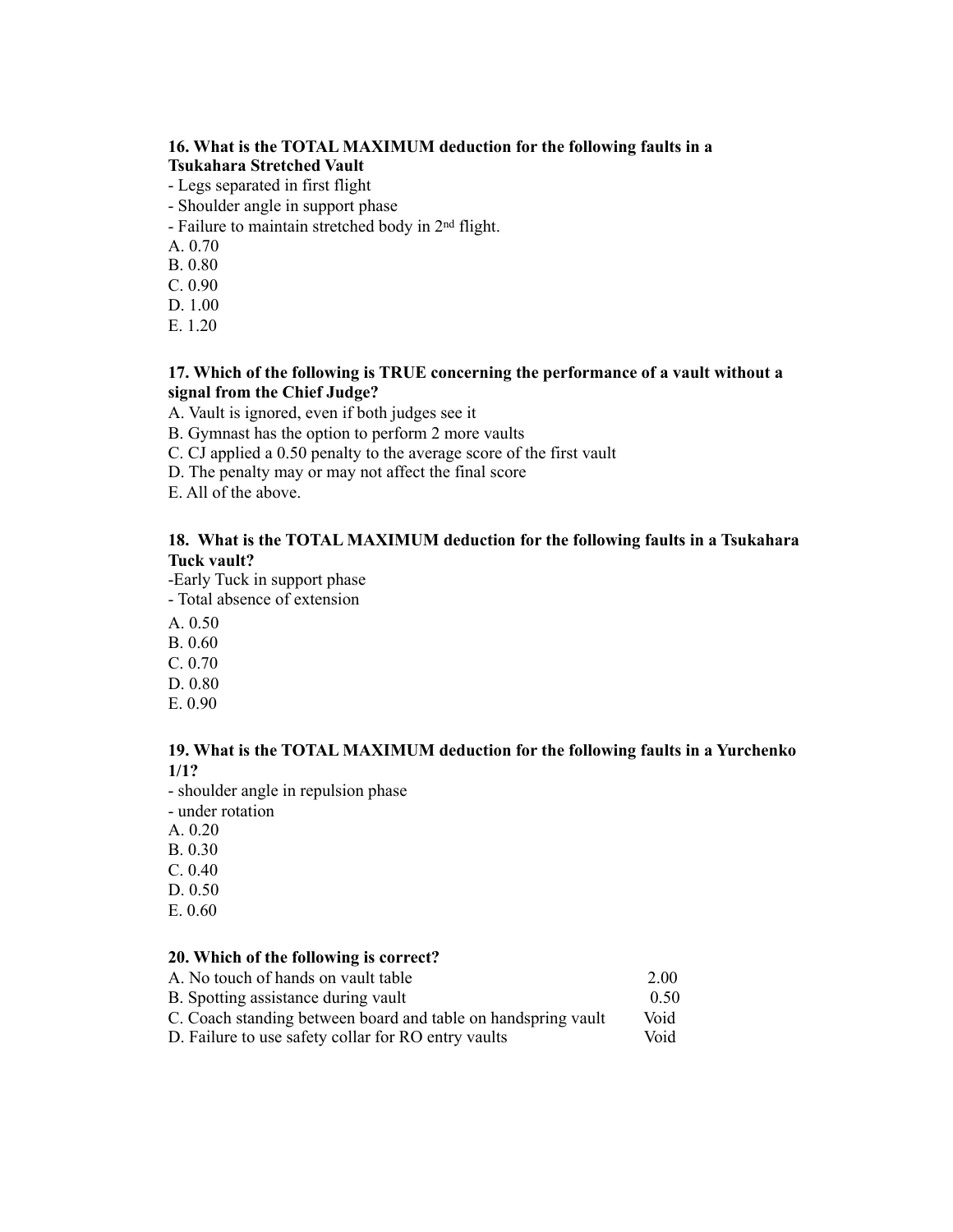## **16. What is the TOTAL MAXIMUM deduction for the following faults in a Tsukahara Stretched Vault**

- Legs separated in first flight
- Shoulder angle in support phase
- Failure to maintain stretched body in 2nd flight.
- A. 0.70
- B. 0.80
- C. 0.90
- D. 1.00
- E. 1.20

# **17. Which of the following is TRUE concerning the performance of a vault without a signal from the Chief Judge?**

A. Vault is ignored, even if both judges see it

B. Gymnast has the option to perform 2 more vaults

- C. CJ applied a 0.50 penalty to the average score of the first vault
- D. The penalty may or may not affect the final score

E. All of the above.

# **18. What is the TOTAL MAXIMUM deduction for the following faults in a Tsukahara Tuck vault?**

-Early Tuck in support phase

- Total absence of extension
- A. 0.50
- B. 0.60
- C. 0.70
- D. 0.80
- E. 0.90

### **19. What is the TOTAL MAXIMUM deduction for the following faults in a Yurchenko 1/1?**

- shoulder angle in repulsion phase

- under rotation
- A. 0.20
- B. 0.30
- C. 0.40
- D. 0.50
- E. 0.60

#### **20. Which of the following is correct?**

| A. No touch of hands on vault table                           | 2.00 |
|---------------------------------------------------------------|------|
| B. Spotting assistance during vault                           | 0.50 |
| C. Coach standing between board and table on handspring vault | Void |
| D. Failure to use safety collar for RO entry vaults           | Void |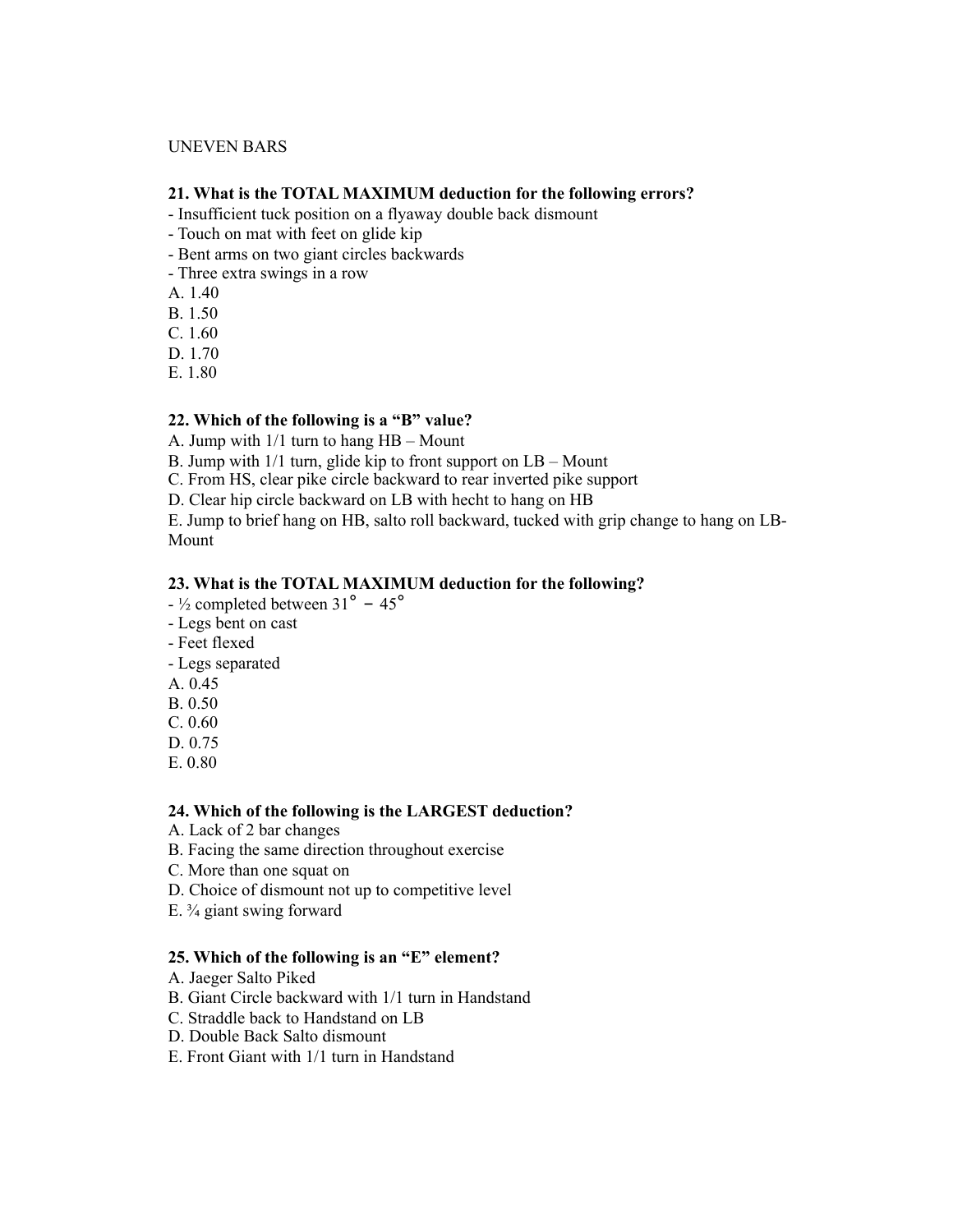#### UNEVEN BARS

#### **21. What is the TOTAL MAXIMUM deduction for the following errors?**

- Insufficient tuck position on a flyaway double back dismount
- Touch on mat with feet on glide kip
- Bent arms on two giant circles backwards
- Three extra swings in a row

A. 1.40

B. 1.50

C. 1.60

- D. 1.70
- E. 1.80

### **22. Which of the following is a "B" value?**

A. Jump with 1/1 turn to hang HB – Mount

B. Jump with 1/1 turn, glide kip to front support on LB – Mount

C. From HS, clear pike circle backward to rear inverted pike support

D. Clear hip circle backward on LB with hecht to hang on HB

E. Jump to brief hang on HB, salto roll backward, tucked with grip change to hang on LB-Mount

### **23. What is the TOTAL MAXIMUM deduction for the following?**

- $-$  <sup>1</sup>/<sub>2</sub> completed between 31<sup>°</sup> 45<sup>°</sup>
- Legs bent on cast
- Feet flexed
- Legs separated
- A. 0.45
- B. 0.50
- C. 0.60
- D. 0.75
- E. 0.80

#### **24. Which of the following is the LARGEST deduction?**

- A. Lack of 2 bar changes
- B. Facing the same direction throughout exercise
- C. More than one squat on
- D. Choice of dismount not up to competitive level
- E.  $\frac{3}{4}$  giant swing forward

#### **25. Which of the following is an "E" element?**

- A. Jaeger Salto Piked
- B. Giant Circle backward with 1/1 turn in Handstand
- C. Straddle back to Handstand on LB
- D. Double Back Salto dismount
- E. Front Giant with 1/1 turn in Handstand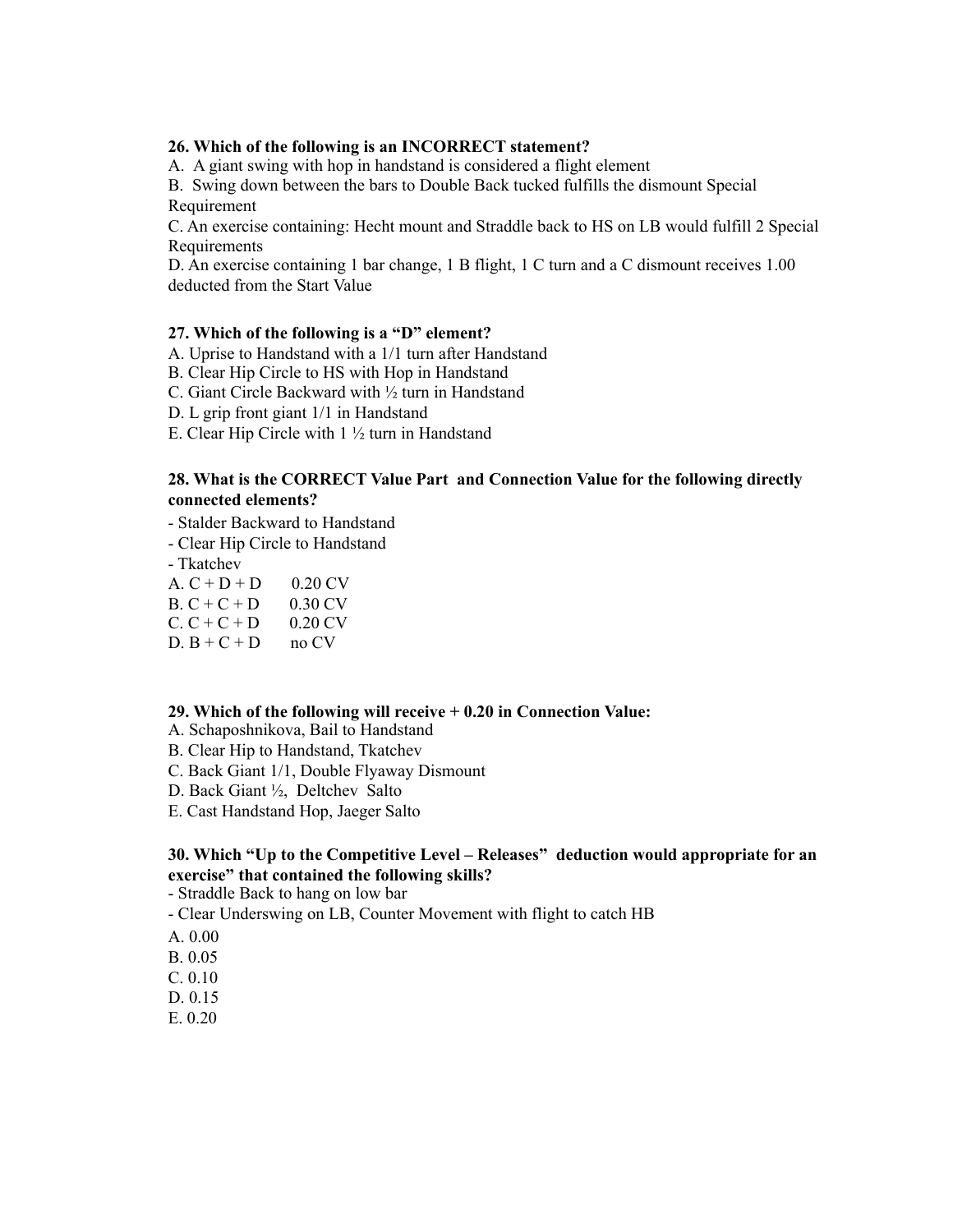#### **26. Which of the following is an INCORRECT statement?**

A.A giant swing with hop in handstand is considered a flight element

B. Swing down between the bars to Double Back tucked fulfills the dismount Special Requirement

C. An exercise containing: Hecht mount and Straddle back to HS on LB would fulfill 2 Special **Requirements** 

D. An exercise containing 1 bar change, 1 B flight, 1 C turn and a C dismount receives 1.00 deducted from the Start Value

### **27. Which of the following is a "D" element?**

A. Uprise to Handstand with a 1/1 turn after Handstand

B. Clear Hip Circle to HS with Hop in Handstand

C. Giant Circle Backward with ½ turn in Handstand

D. L grip front giant 1/1 in Handstand

E. Clear Hip Circle with 1 ½ turn in Handstand

### **28. What is the CORRECT Value Part and Connection Value for the following directly connected elements?**

- Stalder Backward to Handstand
- Clear Hip Circle to Handstand

- Tkatchev

- A.  $C + D + D = 0.20$  CV
- $B. C + C + D$  0.30 CV
- $C. C + C + D$  0.20 CV
- $D. B + C + D$  no CV

#### **29. Which of the following will receive + 0.20 in Connection Value:**

- A. Schaposhnikova, Bail to Handstand
- B. Clear Hip to Handstand, Tkatchev
- C. Back Giant 1/1, Double Flyaway Dismount
- D. Back Giant ½, Deltchev Salto
- E. Cast Handstand Hop, Jaeger Salto

### **30. Which "Up to the Competitive Level – Releases" deduction would appropriate for an exercise" that contained the following skills?**

- Straddle Back to hang on low bar

- Clear Underswing on LB, Counter Movement with flight to catch HB
- A. 0.00
- B. 0.05
- C. 0.10
- D. 0.15
- E. 0.20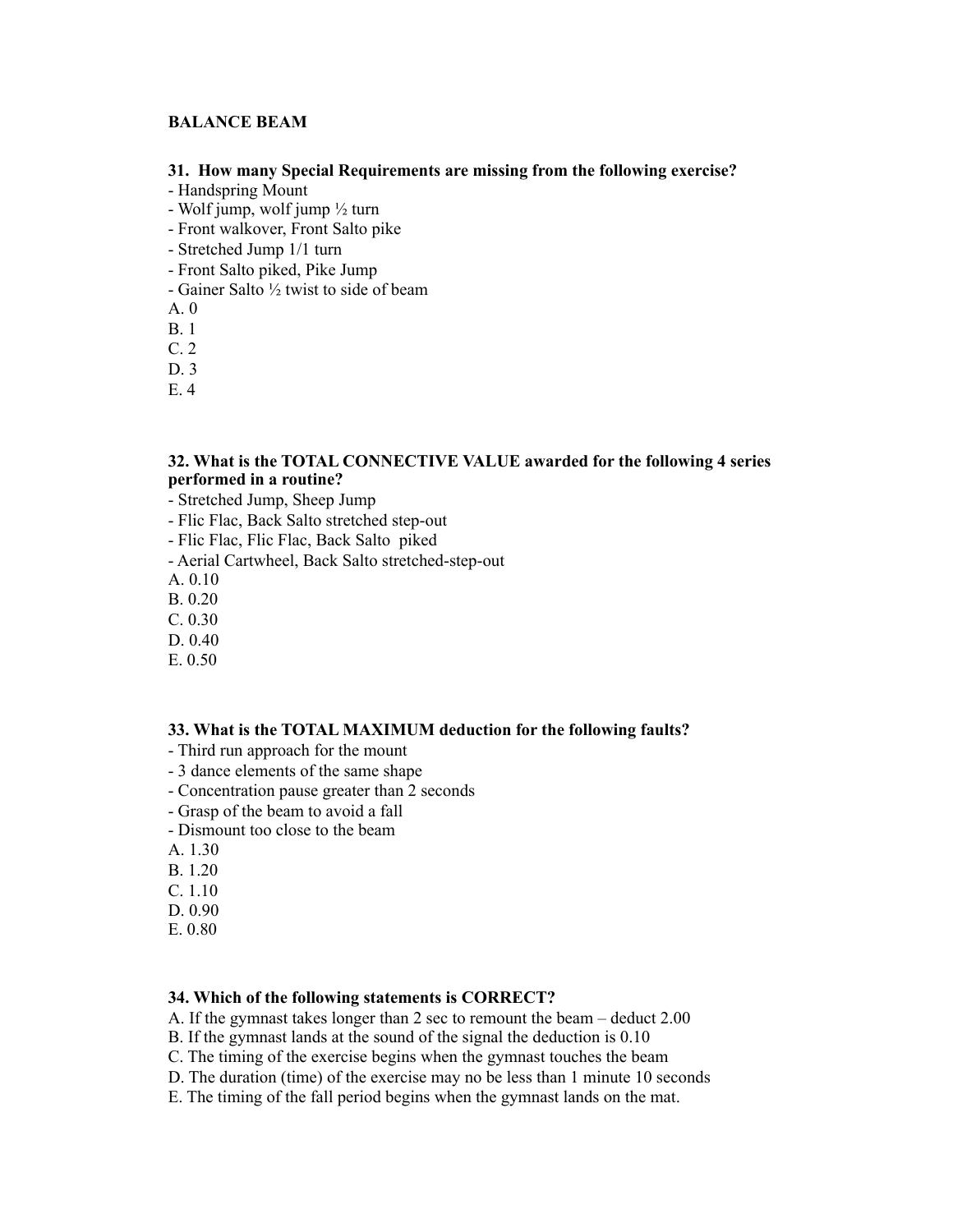# **BALANCE BEAM**

### **31. How many Special Requirements are missing from the following exercise?**

- Handspring Mount
- Wolf jump, wolf jump  $\frac{1}{2}$  turn
- Front walkover, Front Salto pike
- Stretched Jump 1/1 turn
- Front Salto piked, Pike Jump
- Gainer Salto ½ twist to side of beam
- A. 0
- B. 1
- C. 2
- D. 3
- E. 4

### **32. What is the TOTAL CONNECTIVE VALUE awarded for the following 4 series performed in a routine?**

- Stretched Jump, Sheep Jump
- Flic Flac, Back Salto stretched step-out
- Flic Flac, Flic Flac, Back Salto piked
- Aerial Cartwheel, Back Salto stretched-step-out
- A. 0.10
- B. 0.20
- C. 0.30
- D. 0.40
- E. 0.50

### **33. What is the TOTAL MAXIMUM deduction for the following faults?**

- Third run approach for the mount
- 3 dance elements of the same shape
- Concentration pause greater than 2 seconds
- Grasp of the beam to avoid a fall
- Dismount too close to the beam
- A. 1.30
- B. 1.20
- C. 1.10
- D. 0.90
- E. 0.80

### **34. Which of the following statements is CORRECT?**

- A. If the gymnast takes longer than 2 sec to remount the beam deduct 2.00
- B. If the gymnast lands at the sound of the signal the deduction is 0.10
- C. The timing of the exercise begins when the gymnast touches the beam
- D. The duration (time) of the exercise may no be less than 1 minute 10 seconds
- E. The timing of the fall period begins when the gymnast lands on the mat.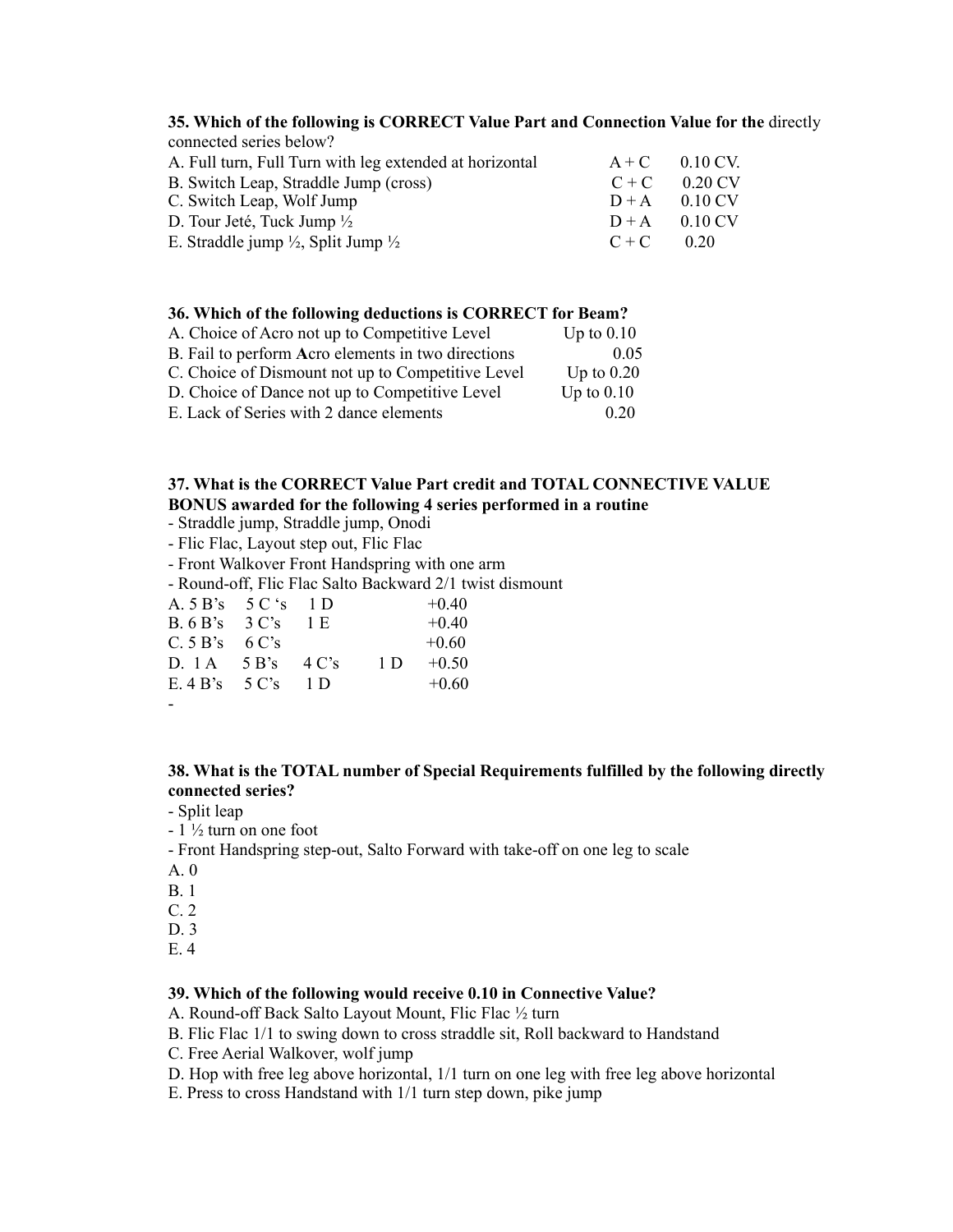#### **35. Which of the following is CORRECT Value Part and Connection Value for the** directly connected series below?

| connected series below?                                                                 |  |
|-----------------------------------------------------------------------------------------|--|
| A. Full turn, Full Turn with leg extended at horizontal<br>$0.10 \text{ CV}$<br>$A + C$ |  |
| 0 20 CV<br>B. Switch Leap, Straddle Jump (cross)<br>$C + C$                             |  |
| C. Switch Leap, Wolf Jump<br>$D+A$ 0.10 CV                                              |  |
| D. Tour Jeté, Tuck Jump $\frac{1}{2}$<br>0 10 CV<br>$D+A$                               |  |
| E. Straddle jump $\frac{1}{2}$ , Split Jump $\frac{1}{2}$<br>$C + C$<br>020             |  |

#### **36. Which of the following deductions is CORRECT for Beam?**

| A. Choice of Acro not up to Competitive Level      | Up to $0.10$ |
|----------------------------------------------------|--------------|
| B. Fail to perform Acro elements in two directions | 0.05         |
| C. Choice of Dismount not up to Competitive Level  | Up to $0.20$ |
| D. Choice of Dance not up to Competitive Level     | Up to $0.10$ |
| E. Lack of Series with 2 dance elements            | 0.20         |

### **37. What is the CORRECT Value Part credit and TOTAL CONNECTIVE VALUE BONUS awarded for the following 4 series performed in a routine**

- Straddle jump, Straddle jump, Onodi
- Flic Flac, Layout step out, Flic Flac
- Front Walkover Front Handspring with one arm
- Round-off, Flic Flac Salto Backward 2/1 twist dismount

| A. $5 \text{ B's}$ 5 C 's 1 D |          |     | $+0.40$ |
|-------------------------------|----------|-----|---------|
| B.6 B's 3 C's                 | - 1 E    |     | $+0.40$ |
| C.5 B's 6 C's                 |          |     | $+0.60$ |
| $D$ 1A 5 B's                  | 4 C's    | 1 D | $+0.50$ |
| $E$ 4 B's 5 C's               | $\Box$ D |     | $+0.60$ |
|                               |          |     |         |

<sup>-</sup>

# **38. What is the TOTAL number of Special Requirements fulfilled by the following directly connected series?**

- Split leap
- $-1\frac{1}{2}$  turn on one foot
- Front Handspring step-out, Salto Forward with take-off on one leg to scale
- A. 0
- B. 1
- C. 2
- D. 3
- E. 4

#### **39. Which of the following would receive 0.10 in Connective Value?**

- A. Round-off Back Salto Layout Mount, Flic Flac ½ turn
- B. Flic Flac 1/1 to swing down to cross straddle sit, Roll backward to Handstand
- C. Free Aerial Walkover, wolf jump
- D. Hop with free leg above horizontal, 1/1 turn on one leg with free leg above horizontal
- E. Press to cross Handstand with 1/1 turn step down, pike jump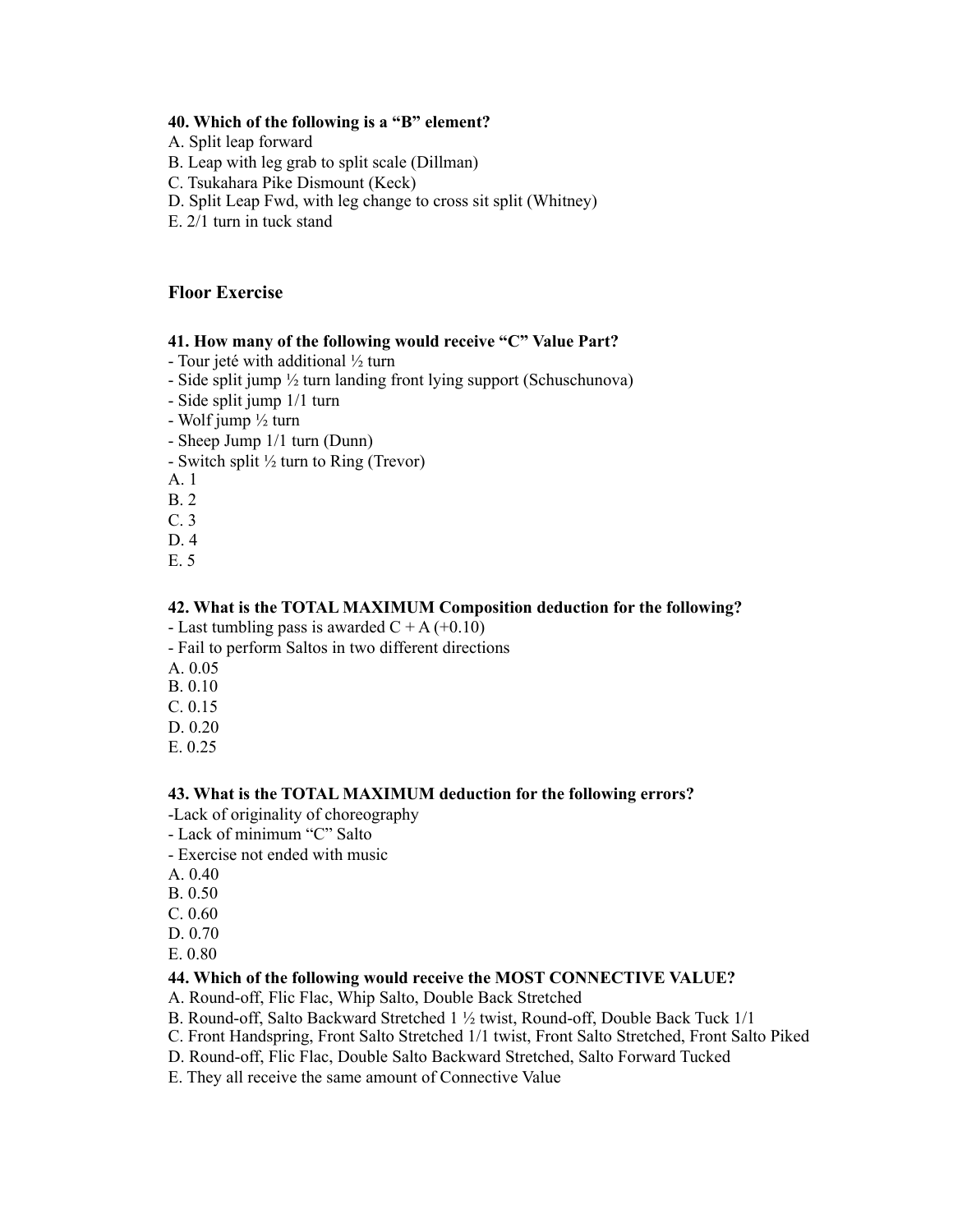### **40. Which of the following is a "B" element?**

- A. Split leap forward
- B. Leap with leg grab to split scale (Dillman)
- C. Tsukahara Pike Dismount (Keck)
- D. Split Leap Fwd, with leg change to cross sit split (Whitney)
- E. 2/1 turn in tuck stand

### **Floor Exercise**

### **41. How many of the following would receive "C" Value Part?**

- Tour jeté with additional  $\frac{1}{2}$  turn
- Side split jump ½ turn landing front lying support (Schuschunova)
- Side split jump 1/1 turn
- Wolf jump ½ turn
- Sheep Jump 1/1 turn (Dunn)
- Switch split ½ turn to Ring (Trevor)
- A. 1
- B. 2
- C. 3
- D. 4
- E. 5

#### **42. What is the TOTAL MAXIMUM Composition deduction for the following?**

- Last tumbling pass is awarded  $C + A (+0.10)$
- Fail to perform Saltos in two different directions
- A. 0.05
- B. 0.10
- C. 0.15
- D. 0.20
- E. 0.25

#### **43. What is the TOTAL MAXIMUM deduction for the following errors?**

- -Lack of originality of choreography
- Lack of minimum "C" Salto
- Exercise not ended with music
- A. 0.40
- B. 0.50
- C. 0.60
- D. 0.70
- E. 0.80

### **44. Which of the following would receive the MOST CONNECTIVE VALUE?**

- A. Round-off, Flic Flac, Whip Salto, Double Back Stretched
- B. Round-off, Salto Backward Stretched 1 ½ twist, Round-off, Double Back Tuck 1/1
- C. Front Handspring, Front Salto Stretched 1/1 twist, Front Salto Stretched, Front Salto Piked
- D. Round-off, Flic Flac, Double Salto Backward Stretched, Salto Forward Tucked
- E. They all receive the same amount of Connective Value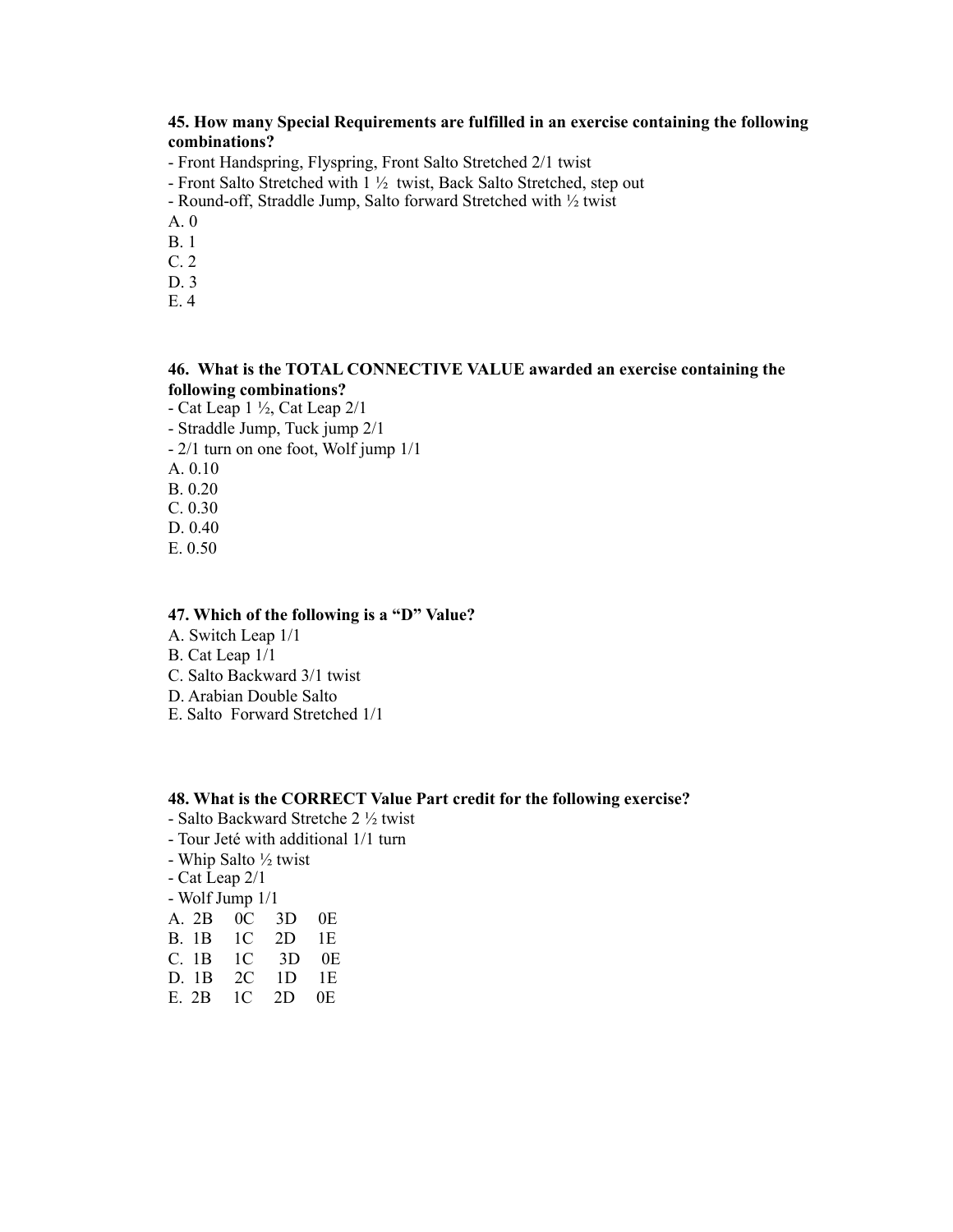# **45. How many Special Requirements are fulfilled in an exercise containing the following combinations?**

- Front Handspring, Flyspring, Front Salto Stretched 2/1 twist

- Front Salto Stretched with 1 ½ twist, Back Salto Stretched, step out
- Round-off, Straddle Jump, Salto forward Stretched with ½ twist
- A. 0
- B. 1 C. 2
- D. 3
- E. 4

## **46. What is the TOTAL CONNECTIVE VALUE awarded an exercise containing the following combinations?**

- Cat Leap 1 ½, Cat Leap 2/1 - Straddle Jump, Tuck jump 2/1 - 2/1 turn on one foot, Wolf jump 1/1 A. 0.10 B. 0.20 C. 0.30 D. 0.40 E. 0.50

### **47. Which of the following is a "D" Value?**

- A. Switch Leap 1/1
- B. Cat Leap 1/1
- C. Salto Backward 3/1 twist
- D. Arabian Double Salto
- E. Salto Forward Stretched 1/1

#### **48. What is the CORRECT Value Part credit for the following exercise?**

- Salto Backward Stretche 2 ½ twist
- Tour Jeté with additional 1/1 turn
- Whip Salto ½ twist
- Cat Leap 2/1
- Wolf Jump 1/1
- A. 2B 0C 3D 0E
- B. 1B 1C 2D 1E
- 1C 3D 0E
- D. 1B 2C 1D 1E
- E. 2B 1C 2D 0E